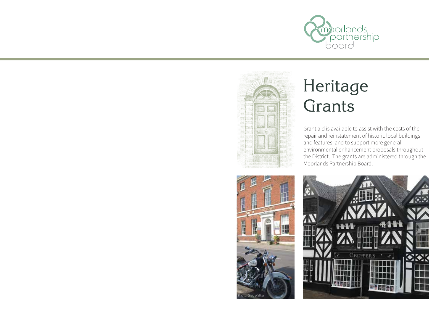



# Heritage **Grants**

Grant aid is available to assist with the costs of the repair and reinstatement of historic local buildings and features, and to support more general environmental enhancement proposals throughout the District. The grants are administered through the Moorlands Partnership Board.



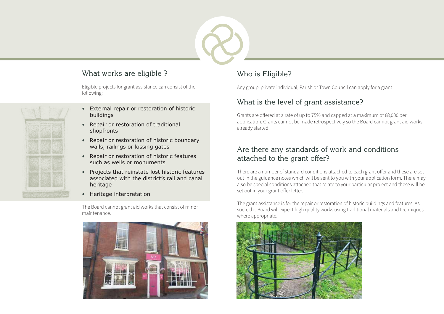#### What works are eligible ? Who is Eligible?

Eligible projects for grant assistance can consist of the following:

- External repair or restoration of historic buildings
- Repair or restoration of traditional shopfronts
- Repair or restoration of historic boundary walls, railings or kissing gates
- Repair or restoration of historic features such as wells or monuments
- Projects that reinstate lost historic features associated with the district's rail and canal heritage
- Heritage interpretation

The Board cannot grant aid works that consist of minor maintenance.



Any group, private individual, Parish or Town Council can apply for a grant.

#### What is the level of grant assistance?

Grants are offered at a rate of up to 75% and capped at a maximum of £8,000 per application. Grants cannot be made retrospectively so the Board cannot grant aid works already started.

#### Are there any standards of work and conditions attached to the grant offer?

There are a number of standard conditions attached to each grant offer and these are set out in the guidance notes which will be sent to you with your application form. There may also be special conditions attached that relate to your particular project and these will be set out in your grant offer letter.

The grant assistance is for the repair or restoration of historic buildings and features. As such, the Board will expect high quality works using traditional materials and techniques where appropriate.